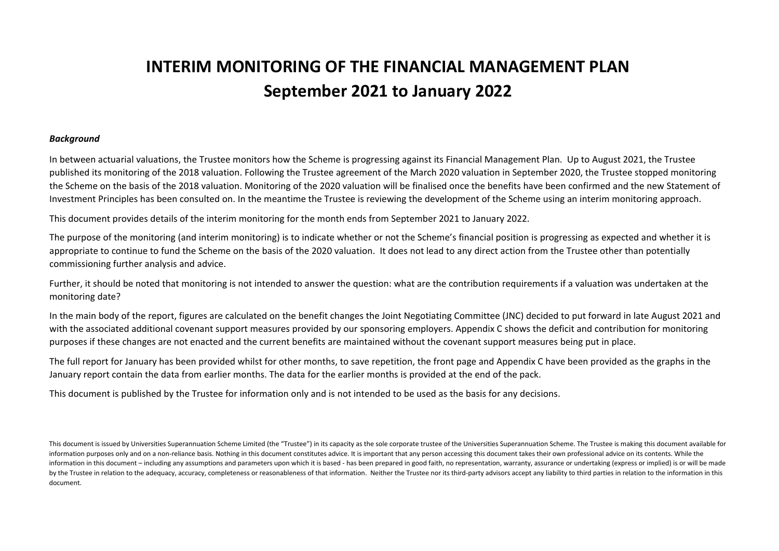# **INTERIM MONITORING OF THE FINANCIAL MANAGEMENT PLAN September 2021 to January 2022**

#### *Background*

In between actuarial valuations, the Trustee monitors how the Scheme is progressing against its Financial Management Plan. Up to August 2021, the Trustee published its monitoring of the 2018 valuation. Following the Trustee agreement of the March 2020 valuation in September 2020, the Trustee stopped monitoring the Scheme on the basis of the 2018 valuation. Monitoring of the 2020 valuation will be finalised once the benefits have been confirmed and the new Statement of Investment Principles has been consulted on. In the meantime the Trustee is reviewing the development of the Scheme using an interim monitoring approach.

This document provides details of the interim monitoring for the month ends from September 2021 to January 2022.

The purpose of the monitoring (and interim monitoring) is to indicate whether or not the Scheme's financial position is progressing as expected and whether it is appropriate to continue to fund the Scheme on the basis of the 2020 valuation. It does not lead to any direct action from the Trustee other than potentially commissioning further analysis and advice.

Further, it should be noted that monitoring is not intended to answer the question: what are the contribution requirements if a valuation was undertaken at the monitoring date?

In the main body of the report, figures are calculated on the benefit changes the Joint Negotiating Committee (JNC) decided to put forward in late August 2021 and with the associated additional covenant support measures provided by our sponsoring employers. Appendix C shows the deficit and contribution for monitoring purposes if these changes are not enacted and the current benefits are maintained without the covenant support measures being put in place.

The full report for January has been provided whilst for other months, to save repetition, the front page and Appendix C have been provided as the graphs in the January report contain the data from earlier months. The data for the earlier months is provided at the end of the pack.

This document is published by the Trustee for information only and is not intended to be used as the basis for any decisions.

This document is issued by Universities Superannuation Scheme Limited (the "Trustee") in its capacity as the sole corporate trustee of the Universities Superannuation Scheme. The Trustee is making this document available f information purposes only and on a non-reliance basis. Nothing in this document constitutes advice. It is important that any person accessing this document takes their own professional advice on its contents. While the information in this document – including any assumptions and parameters upon which it is based - has been prepared in good faith, no representation, warranty, assurance or undertaking (express or implied) is or will be mad by the Trustee in relation to the adequacy, accuracy, completeness or reasonableness of that information. Neither the Trustee nor its third-party advisors accept any liability to third parties in relation to the informatio document.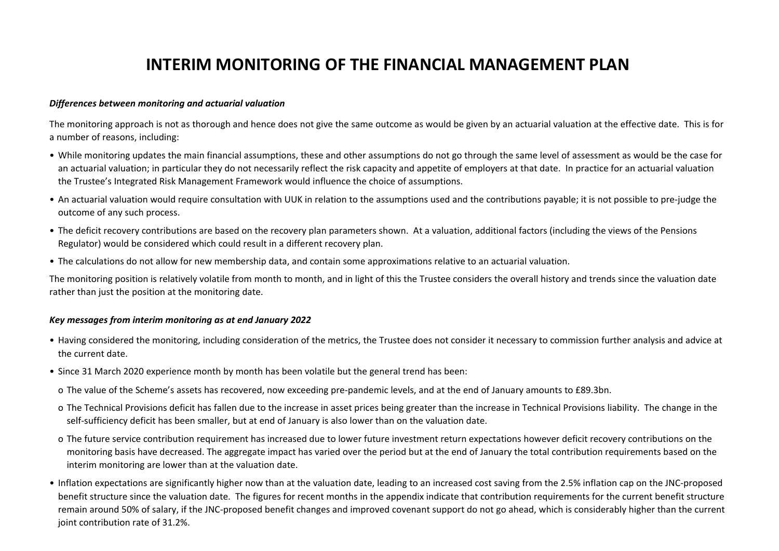# **INTERIM MONITORING OF THE FINANCIAL MANAGEMENT PLAN**

#### *Differences between monitoring and actuarial valuation*

The monitoring approach is not as thorough and hence does not give the same outcome as would be given by an actuarial valuation at the effective date. This is for a number of reasons, including:

- While monitoring updates the main financial assumptions, these and other assumptions do not go through the same level of assessment as would be the case for an actuarial valuation; in particular they do not necessarily reflect the risk capacity and appetite of employers at that date. In practice for an actuarial valuation the Trustee's Integrated Risk Management Framework would influence the choice of assumptions.
- An actuarial valuation would require consultation with UUK in relation to the assumptions used and the contributions payable; it is not possible to pre-judge the outcome of any such process.
- The deficit recovery contributions are based on the recovery plan parameters shown. At a valuation, additional factors (including the views of the Pensions Regulator) would be considered which could result in a different recovery plan.
- The calculations do not allow for new membership data, and contain some approximations relative to an actuarial valuation.

The monitoring position is relatively volatile from month to month, and in light of this the Trustee considers the overall history and trends since the valuation date rather than just the position at the monitoring date.

### *Key messages from interim monitoring as at end January 2022*

- Having considered the monitoring, including consideration of the metrics, the Trustee does not consider it necessary to commission further analysis and advice at the current date.
- Since 31 March 2020 experience month by month has been volatile but the general trend has been:
- o The value of the Scheme's assets has recovered, now exceeding pre-pandemic levels, and at the end of January amounts to £89.3bn.
- o The Technical Provisions deficit has fallen due to the increase in asset prices being greater than the increase in Technical Provisions liability. The change in the self-sufficiency deficit has been smaller, but at end of January is also lower than on the valuation date.
- o The future service contribution requirement has increased due to lower future investment return expectations however deficit recovery contributions on the monitoring basis have decreased. The aggregate impact has varied over the period but at the end of January the total contribution requirements based on the interim monitoring are lower than at the valuation date.
- Inflation expectations are significantly higher now than at the valuation date, leading to an increased cost saving from the 2.5% inflation cap on the JNC-proposed benefit structure since the valuation date. The figures for recent months in the appendix indicate that contribution requirements for the current benefit structure remain around 50% of salary, if the JNC-proposed benefit changes and improved covenant support do not go ahead, which is considerably higher than the current joint contribution rate of 31.2%.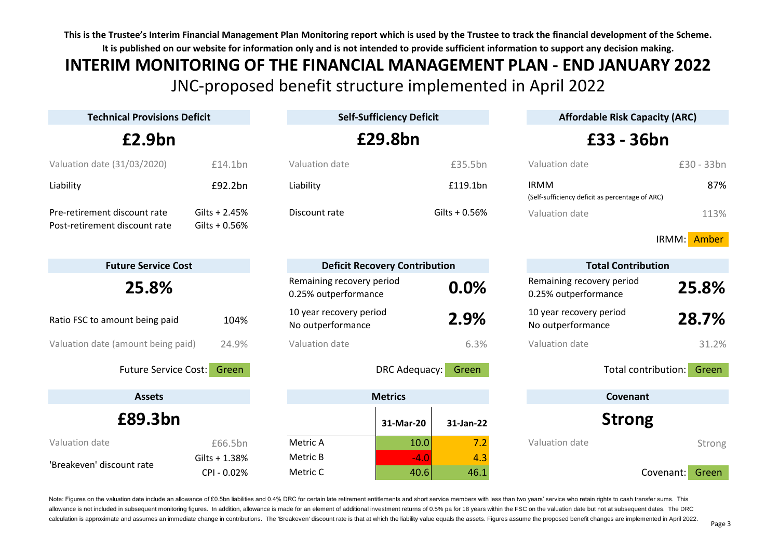# **INTERIM MONITORING OF THE FINANCIAL MANAGEMENT PLAN - END JANUARY 2022** JNC-proposed benefit structure implemented in April 2022

| <b>Technical Provisions Deficit</b>                           |                            | <b>Self-Sufficiency Deficit</b>                   |                                      | <b>Affordable Risk Capacity (ARC)</b>                          |                              |  |  |
|---------------------------------------------------------------|----------------------------|---------------------------------------------------|--------------------------------------|----------------------------------------------------------------|------------------------------|--|--|
| £2.9bn                                                        |                            |                                                   | £29.8bn                              |                                                                | £33 - 36bn                   |  |  |
| Valuation date (31/03/2020)                                   | £14.1bn                    | Valuation date                                    | £35.5bn                              | Valuation date                                                 | £30 - 33bn                   |  |  |
| Liability                                                     | £92.2bn                    | Liability                                         | £119.1bn                             | <b>IRMM</b><br>(Self-sufficiency deficit as percentage of ARC) | 87%                          |  |  |
| Pre-retirement discount rate<br>Post-retirement discount rate | $Gilts + 2.45%$            | Discount rate                                     | Gilts + $0.56%$                      | Valuation date                                                 | 113%                         |  |  |
|                                                               | Gilts $+0.56%$             |                                                   |                                      |                                                                | IRMM: Amber                  |  |  |
| <b>Future Service Cost</b>                                    |                            |                                                   | <b>Deficit Recovery Contribution</b> |                                                                | <b>Total Contribution</b>    |  |  |
| 25.8%                                                         |                            | Remaining recovery period<br>0.25% outperformance | 0.0%                                 | Remaining recovery period<br>0.25% outperformance              | 25.8%                        |  |  |
| Ratio FSC to amount being paid                                | 104%                       | 10 year recovery period<br>No outperformance      | 2.9%                                 | 10 year recovery period<br>No outperformance                   | 28.7%                        |  |  |
| Valuation date (amount being paid)                            | 24.9%                      | Valuation date                                    | 6.3%                                 | Valuation date                                                 | 31.2%                        |  |  |
| <b>Future Service Cost:</b>                                   | Green                      |                                                   | DRC Adequacy:<br>Green               |                                                                | Total contribution:<br>Green |  |  |
| <b>Assets</b>                                                 |                            |                                                   | <b>Metrics</b>                       |                                                                | Covenant                     |  |  |
| £89.3bn                                                       |                            |                                                   | 31-Mar-20<br>31-Jan-22               | <b>Strong</b>                                                  |                              |  |  |
| Valuation date                                                | £66.5bn                    | Metric A                                          | 7.2<br>10.0                          | Valuation date                                                 | Strong                       |  |  |
| 'Breakeven' discount rate                                     | Gilts + 1.38%<br>CPI-0.02% | Metric B<br>Metric C                              | 4.3<br>$-4.0$<br>46.1<br>40.6        |                                                                | Covenant:<br>Green           |  |  |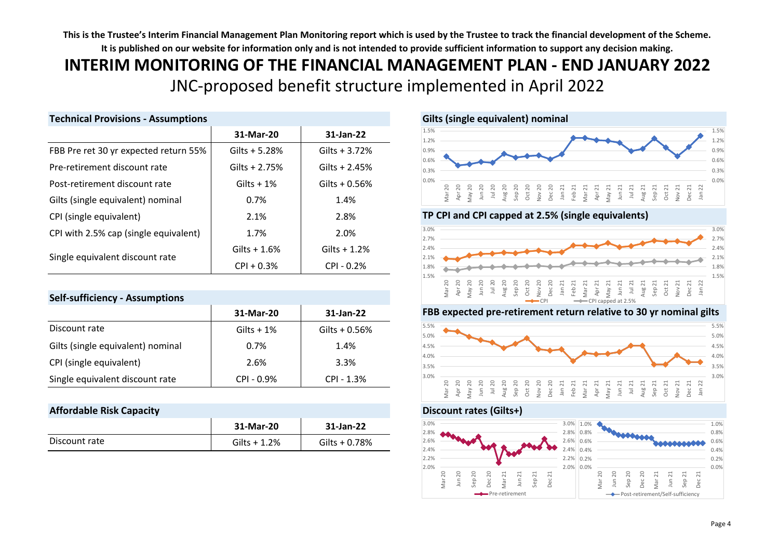# **INTERIM MONITORING OF THE FINANCIAL MANAGEMENT PLAN - END JANUARY 2022** JNC-proposed benefit structure implemented in April 2022

| <b>Technical Provisions - Assumptions</b> |                 |                 | Gilts (single equivalent) nominal                                                                                         |
|-------------------------------------------|-----------------|-----------------|---------------------------------------------------------------------------------------------------------------------------|
|                                           | 31-Mar-20       | 31-Jan-22       | 1.5%<br>1.2%                                                                                                              |
| FBB Pre ret 30 yr expected return 55%     | Gilts $+ 5.28%$ | Gilts $+3.72%$  | 0.9%                                                                                                                      |
| Pre-retirement discount rate              | Gilts + $2.75%$ | Gilts + $2.45%$ | 0.6%<br>0.3%                                                                                                              |
| Post-retirement discount rate             | Gilts $+1\%$    | Gilts $+0.56%$  | 0.0%<br>20                                                                                                                |
| Gilts (single equivalent) nominal         | 0.7%            | 1.4%            | Apr 20<br>May 20<br>Jul 20<br>Aug 20<br>Sep 20<br>Oct 20<br>Dec 20<br>Dec 20<br>Den 21<br>Jan 21<br>$\overline{\epsilon}$ |
| CPI (single equivalent)                   | 2.1%            | 2.8%            | TP CPI and CPI capped at 2.5% (s                                                                                          |
| CPI with 2.5% cap (single equivalent)     | 1.7%            | 2.0%            | 3.0%<br>2.7%                                                                                                              |
|                                           | Gilts $+1.6%$   | Gilts $+1.2%$   | 2.4%                                                                                                                      |
| Single equivalent discount rate           | $CPI + 0.3%$    | $CPI - 0.2%$    | 2.1%<br>1.8%<br>1 EQ                                                                                                      |

### **Self-sufficiency - Assumptions**

|                                   | 31-Mar-20    | 31-Jan-22      |
|-----------------------------------|--------------|----------------|
| Discount rate                     | Gilts $+1\%$ | Gilts $+0.56%$ |
| Gilts (single equivalent) nominal | 0.7%         | 1.4%           |
| CPI (single equivalent)           | 2.6%         | 3.3%           |
| Single equivalent discount rate   | $CPI - 0.9%$ | $CPI - 1.3%$   |

## **Affordable Risk Capacity Discount rates (Gilts+)**

|               | 31-Mar-20     | 31-Jan-22      |
|---------------|---------------|----------------|
| Discount rate | Gilts $+1.2%$ | Gilts $+0.78%$ |





#### **FBB expected pre-retirement return relative to 30 yr nominal gilts**



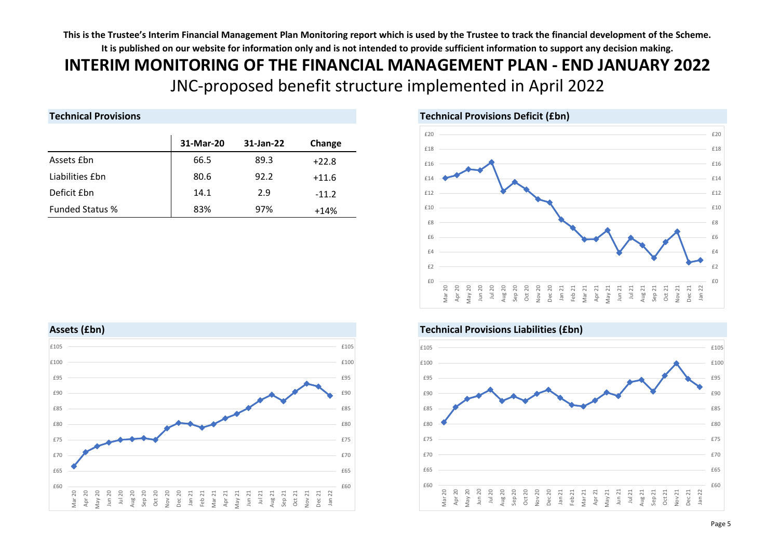# **INTERIM MONITORING OF THE FINANCIAL MANAGEMENT PLAN - END JANUARY 2022** JNC-proposed benefit structure implemented in April 2022

# **Technical Provisions Technical Provisions Deficit (£bn)**

|                        | 31-Mar-20 | 31-Jan-22 | Change  |
|------------------------|-----------|-----------|---------|
| Assets Ebn             | 66.5      | 89.3      | $+22.8$ |
| Liabilities £bn        | 80.6      | 92.2      | $+11.6$ |
| Deficit £bn            | 14.1      | 2.9       | $-11.2$ |
| <b>Funded Status %</b> | 83%       | 97%       | $+14%$  |

#### $f($ £2 £4  $£6$ £8 £10 £12 £14 £16 £18 £20  $f($ £2 £4 £6 £8 £10 £12 £14 £16 £18 £20 Mar 20  $\frac{1}{2}$ May 20 Jun 20 Jul 20 Aug 20 Sep 20 Oct 20 Nov 20 Dec 20 Jan 21 Feb 21 Mar 21 Apr 21 May 21 Jun 21 Jul 21 Aug 21 Sep 21 Oct 21 Nov 21 Dec 21<br>Jan 22  $\overline{a}$





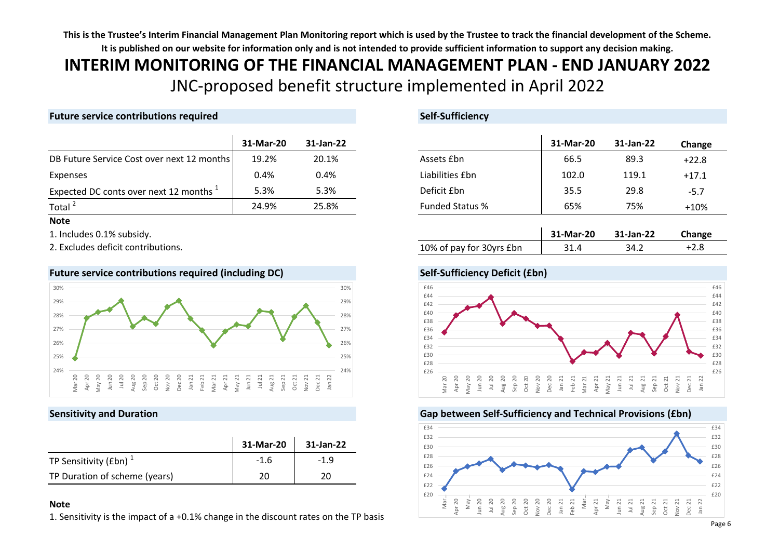# **INTERIM MONITORING OF THE FINANCIAL MANAGEMENT PLAN - END JANUARY 2022** JNC-proposed benefit structure implemented in April 2022

# **Future service contributions required Self-Sufficiency**

|                                            | 31-Mar-20 | 31-Jan-22 |                        | 31-Mar-20 | 31-Jan-22 | Chango  |
|--------------------------------------------|-----------|-----------|------------------------|-----------|-----------|---------|
| DB Future Service Cost over next 12 months | 19.2%     | 20.1%     | Assets £bn             | 66.5      | 89.3      | $+22.8$ |
| Expenses                                   | $0.4\%$   | $0.4\%$   | Liabilities £bn        | 102.0     | 119.1     | $+17.1$ |
| Expected DC conts over next 12 months 1    | 5.3%      | 5.3%      | Deficit Ebn            | 35.5      | 29.8      | $-5.7$  |
| Total $^2$                                 | 24.9%     | 25.8%     | <b>Funded Status %</b> | 65%       | 75%       | $+10%$  |

#### **Note**

1. Includes 0.1% subsidy.

2. Excludes deficit contributions.



#### **Future service contributions required (including DC) Self-Sufficiency Deficit (£bn)**

|                               | 31-Mar-20 | 31-Jan-22 |
|-------------------------------|-----------|-----------|
| TP Sensitivity (£bn) $1$      | $-1.6$    | $-1.9$    |
| TP Duration of scheme (years) | 20        | ንበ        |

#### **Note**

1. Sensitivity is the impact of a +0.1% change in the discount rates on the TP basis

| 31-Mar-20 | 31-Jan-22 |                        | 31-Mar-20 | 31-Jan-22 | Change  |
|-----------|-----------|------------------------|-----------|-----------|---------|
| 19.2%     | 20.1%     | Assets Ebn             | 66.5      | 89.3      | $+22.8$ |
| 0.4%      | 0.4%      | Liabilities £bn        | 102.0     | 119.1     | $+17.1$ |
| 5.3%      | 5.3%      | Deficit Ebn            | 35.5      | 29.8      | $-5.7$  |
| 24.9%     | 25.8%     | <b>Funded Status %</b> | 65%       | 75%       | $+10%$  |

|                          | 31-Mar-20 | 31-Jan-22 | Change |
|--------------------------|-----------|-----------|--------|
| 10% of pay for 30yrs £bn | 31.4      | 34.2      |        |

# £46



### **Sensitivity and Duration Gap between Self-Sufficiency and Technical Provisions (£bn)**

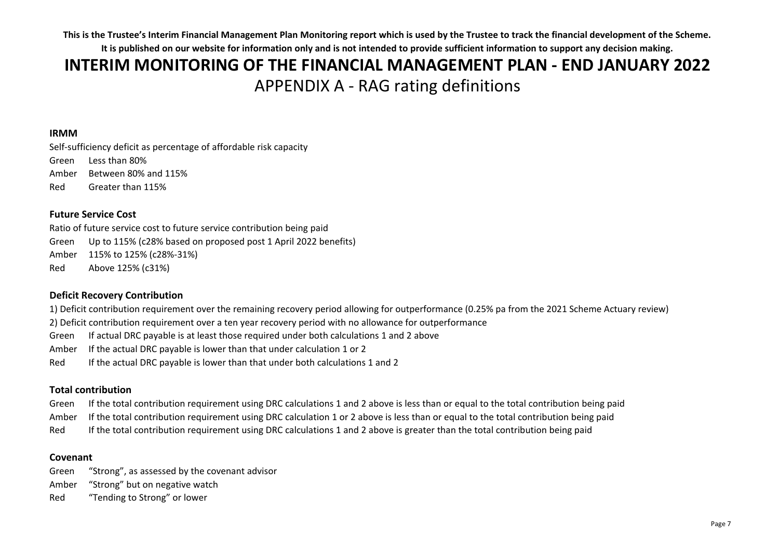# APPENDIX A - RAG rating definitions **INTERIM MONITORING OF THE FINANCIAL MANAGEMENT PLAN - END JANUARY 2022**

### **IRMM**

Self-sufficiency deficit as percentage of affordable risk capacity Green Less than 80% Amber Between 80% and 115% Red Greater than 115%

## **Future Service Cost**

Ratio of future service cost to future service contribution being paid Green Up to 115% (c28% based on proposed post 1 April 2022 benefits) Amber 115% to 125% (c28%-31%) Red Above 125% (c31%)

# **Deficit Recovery Contribution**

1) Deficit contribution requirement over the remaining recovery period allowing for outperformance (0.25% pa from the 2021 Scheme Actuary review)

2) Deficit contribution requirement over a ten year recovery period with no allowance for outperformance

Green If actual DRC payable is at least those required under both calculations 1 and 2 above

Amber If the actual DRC payable is lower than that under calculation 1 or 2

Red If the actual DRC payable is lower than that under both calculations 1 and 2

# **Total contribution**

Green If the total contribution requirement using DRC calculations 1 and 2 above is less than or equal to the total contribution being paid

Amber If the total contribution requirement using DRC calculation 1 or 2 above is less than or equal to the total contribution being paid

Red If the total contribution requirement using DRC calculations 1 and 2 above is greater than the total contribution being paid

### **Covenant**

Green "Strong", as assessed by the covenant advisor Amber "Strong" but on negative watch Red "Tending to Strong" or lower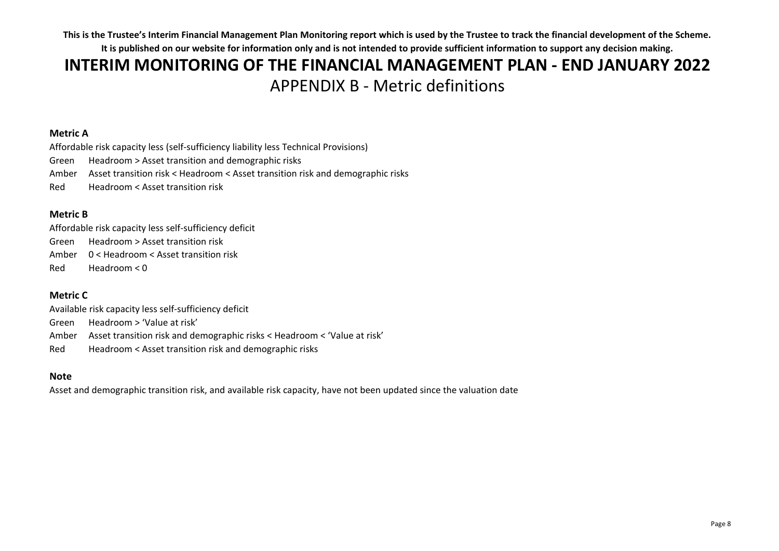# **INTERIM MONITORING OF THE FINANCIAL MANAGEMENT PLAN - END JANUARY 2022** APPENDIX B - Metric definitions

# **Metric A**

Affordable risk capacity less (self-sufficiency liability less Technical Provisions) Green Headroom > Asset transition and demographic risks Amber Asset transition risk < Headroom < Asset transition risk and demographic risks Red Headroom < Asset transition risk

# **Metric B**

Affordable risk capacity less self-sufficiency deficit Green Headroom > Asset transition risk Amber 0 < Headroom < Asset transition risk Red Headroom < 0

# **Metric C**

Available risk capacity less self-sufficiency deficit Green Headroom > 'Value at risk' Amber Asset transition risk and demographic risks < Headroom < 'Value at risk' Red Headroom < Asset transition risk and demographic risks

### **Note**

Asset and demographic transition risk, and available risk capacity, have not been updated since the valuation date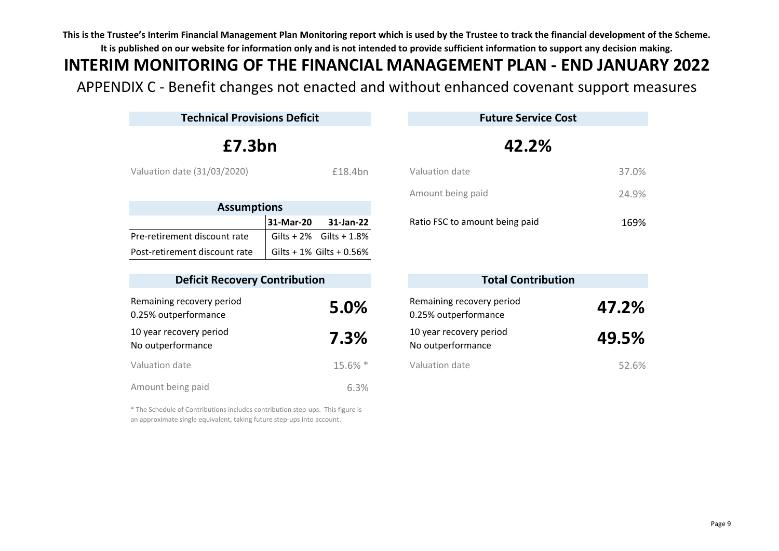# **INTERIM MONITORING OF THE FINANCIAL MANAGEMENT PLAN - END JANUARY 2022**

APPENDIX C - Benefit changes not enacted and without enhanced covenant support measures

| <b>Technical Provisions Deficit</b>               |           |                               | <b>Future Service Cost</b>                        |       |
|---------------------------------------------------|-----------|-------------------------------|---------------------------------------------------|-------|
| £7.3bn                                            |           |                               | 42.2%                                             |       |
| Valuation date (31/03/2020)                       |           | £18.4bn                       | Valuation date                                    | 37.0% |
|                                                   |           |                               | Amount being paid                                 | 24.9% |
| <b>Assumptions</b>                                |           |                               |                                                   |       |
|                                                   | 31-Mar-20 | 31-Jan-22                     | Ratio FSC to amount being paid                    | 169%  |
| Pre-retirement discount rate                      |           | Gilts + $2\%$ Gilts + $1.8\%$ |                                                   |       |
| Post-retirement discount rate                     |           | Gilts + $1\%$ Gilts + 0.56%   |                                                   |       |
|                                                   |           |                               |                                                   |       |
| <b>Deficit Recovery Contribution</b>              |           |                               | <b>Total Contribution</b>                         |       |
| Remaining recovery period<br>0.25% outperformance |           | 5.0%                          | Remaining recovery period<br>0.25% outperformance | 47.2% |
| 10 year recovery period<br>No outperformance      |           | 7.3%                          | 10 year recovery period<br>No outperformance      | 49.5% |
| Valuation date                                    |           | 15.6% *                       | Valuation date                                    | 52.6% |
| Amount being paid                                 |           | 6.3%                          |                                                   |       |

| ount being paid            | 24.9% |
|----------------------------|-------|
| p FSC to amount being paid | 169%  |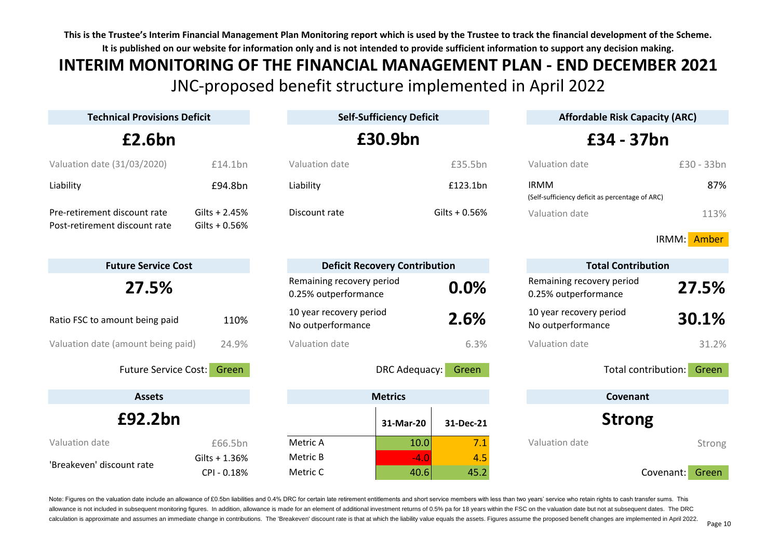# JNC-proposed benefit structure implemented in April 2022 **INTERIM MONITORING OF THE FINANCIAL MANAGEMENT PLAN - END DECEMBER 2021**

| <b>Technical Provisions Deficit</b>                           |                                    | <b>Self-Sufficiency Deficit</b>                   |                                      |                                                                | <b>Affordable Risk Capacity (ARC)</b> |  |  |
|---------------------------------------------------------------|------------------------------------|---------------------------------------------------|--------------------------------------|----------------------------------------------------------------|---------------------------------------|--|--|
| £2.6bn                                                        |                                    |                                                   | £30.9bn                              |                                                                | £34 - 37bn                            |  |  |
| Valuation date (31/03/2020)                                   | £14.1bn                            | Valuation date                                    | £35.5bn                              | Valuation date                                                 | £30 - 33bn                            |  |  |
| Liability                                                     | £94.8bn                            | Liability                                         | £123.1bn                             | <b>IRMM</b><br>(Self-sufficiency deficit as percentage of ARC) | 87%                                   |  |  |
| Pre-retirement discount rate<br>Post-retirement discount rate | Gilts + $2.45%$<br>Gilts + $0.56%$ | Discount rate                                     | Gilts + $0.56%$                      | Valuation date                                                 | 113%                                  |  |  |
|                                                               |                                    |                                                   |                                      |                                                                | IRMM: Amber                           |  |  |
| <b>Future Service Cost</b>                                    |                                    |                                                   | <b>Deficit Recovery Contribution</b> |                                                                | <b>Total Contribution</b>             |  |  |
| 27.5%                                                         |                                    | Remaining recovery period<br>0.25% outperformance | 0.0%                                 | Remaining recovery period<br>0.25% outperformance              | 27.5%                                 |  |  |
| Ratio FSC to amount being paid                                | 110%                               | 10 year recovery period<br>No outperformance      | 2.6%                                 | 10 year recovery period<br>No outperformance                   | 30.1%                                 |  |  |
| Valuation date (amount being paid)                            | 24.9%                              | Valuation date                                    | 6.3%                                 | Valuation date                                                 | 31.2%                                 |  |  |
| <b>Future Service Cost:</b>                                   | Green                              |                                                   | DRC Adequacy:<br>Green               |                                                                | Total contribution:<br>Green          |  |  |
| <b>Assets</b>                                                 |                                    |                                                   | <b>Metrics</b>                       |                                                                | Covenant                              |  |  |
| £92.2bn                                                       |                                    |                                                   | 31-Mar-20<br>31-Dec-21               |                                                                | <b>Strong</b>                         |  |  |
| Valuation date                                                | £66.5bn                            | Metric A                                          | 7.1<br>10.0                          | Valuation date                                                 | Strong                                |  |  |
| 'Breakeven' discount rate                                     | Gilts + 1.36%<br>CPI - 0.18%       | Metric B<br>Metric C                              | $-4.0$<br>4.5<br>40.6<br>45.2        |                                                                | Covenant:<br>Green                    |  |  |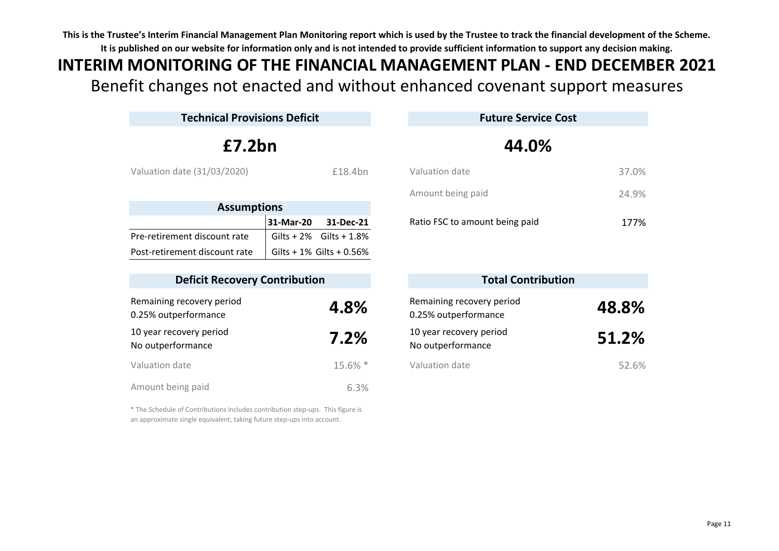# Benefit changes not enacted and without enhanced covenant support measures **INTERIM MONITORING OF THE FINANCIAL MANAGEMENT PLAN - END DECEMBER 2021**

| <b>Technical Provisions Deficit</b>               |           |                               |  | <b>Future Service Cost</b>                        |       |  |
|---------------------------------------------------|-----------|-------------------------------|--|---------------------------------------------------|-------|--|
| E7.2bn                                            |           |                               |  | 44.0%                                             |       |  |
| Valuation date (31/03/2020)                       |           | £18.4bn                       |  | Valuation date                                    | 37.0% |  |
|                                                   |           |                               |  | Amount being paid                                 | 24.9% |  |
| <b>Assumptions</b>                                |           |                               |  |                                                   |       |  |
|                                                   | 31-Mar-20 | 31-Dec-21                     |  | Ratio FSC to amount being paid                    |       |  |
| Pre-retirement discount rate                      |           | Gilts + $2\%$ Gilts + $1.8\%$ |  |                                                   |       |  |
| Post-retirement discount rate                     |           | Gilts + $1\%$ Gilts + 0.56%   |  |                                                   |       |  |
| <b>Deficit Recovery Contribution</b>              |           |                               |  | <b>Total Contribution</b>                         |       |  |
| Remaining recovery period<br>0.25% outperformance |           | 4.8%                          |  | Remaining recovery period<br>0.25% outperformance | 48.8% |  |
| 10 year recovery period<br>No outperformance      |           | 7.2%                          |  | 10 year recovery period<br>No outperformance      | 51.2% |  |
| Valuation date                                    |           | 15.6% *                       |  | Valuation date                                    | 52.6% |  |
| Amount being paid                                 |           | 6.3%                          |  |                                                   |       |  |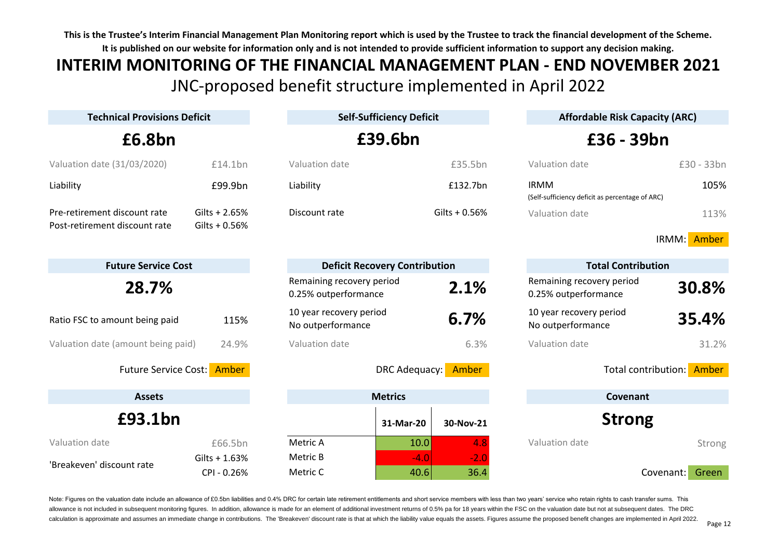# JNC-proposed benefit structure implemented in April 2022 **INTERIM MONITORING OF THE FINANCIAL MANAGEMENT PLAN - END NOVEMBER 2021**

| <b>Technical Provisions Deficit</b>                           |                                   |                                                   | <b>Self-Sufficiency Deficit</b>  |                                                                | <b>Affordable Risk Capacity (ARC)</b> |  |
|---------------------------------------------------------------|-----------------------------------|---------------------------------------------------|----------------------------------|----------------------------------------------------------------|---------------------------------------|--|
| £6.8bn                                                        |                                   | £39.6bn                                           |                                  | £36 - 39bn                                                     |                                       |  |
| Valuation date (31/03/2020)                                   | £14.1bn                           | Valuation date                                    | £35.5bn                          | Valuation date                                                 | £30 - 33bn                            |  |
| Liability                                                     | £99.9bn                           | Liability                                         | £132.7bn                         | <b>IRMM</b><br>(Self-sufficiency deficit as percentage of ARC) | 105%                                  |  |
| Pre-retirement discount rate<br>Post-retirement discount rate | $Gilts + 2.65%$<br>Gilts $+0.56%$ | Discount rate                                     | Gilts + $0.56%$                  | Valuation date                                                 | 113%                                  |  |
|                                                               |                                   |                                                   |                                  |                                                                | IRMM:<br>Amber                        |  |
| <b>Future Service Cost</b>                                    |                                   | <b>Deficit Recovery Contribution</b>              |                                  | <b>Total Contribution</b>                                      |                                       |  |
| 28.7%                                                         |                                   | Remaining recovery period<br>0.25% outperformance | 2.1%                             | Remaining recovery period<br>0.25% outperformance              | 30.8%                                 |  |
| Ratio FSC to amount being paid                                | 115%                              | 10 year recovery period<br>No outperformance      | 6.7%                             | 10 year recovery period<br>No outperformance                   | 35.4%                                 |  |
| Valuation date (amount being paid)                            | 24.9%                             | Valuation date                                    | 6.3%                             | Valuation date                                                 | 31.2%                                 |  |
| Future Service Cost: Amber                                    |                                   |                                                   | DRC Adequacy:<br>Amber           | Total contribution: Amber                                      |                                       |  |
| <b>Assets</b>                                                 |                                   | <b>Metrics</b>                                    |                                  | Covenant                                                       |                                       |  |
| £93.1bn                                                       |                                   |                                                   | 31-Mar-20<br>30-Nov-21           | <b>Strong</b>                                                  |                                       |  |
| Valuation date                                                | £66.5bn                           | Metric A                                          | 10.0<br>4.8                      | Valuation date                                                 | Strong                                |  |
| 'Breakeven' discount rate                                     | $Gilts + 1.63%$<br>CPI-0.26%      | Metric B<br>Metric C                              | $-4.0$<br>$-2.0$<br>40.6<br>36.4 |                                                                | Covenant:<br>Green                    |  |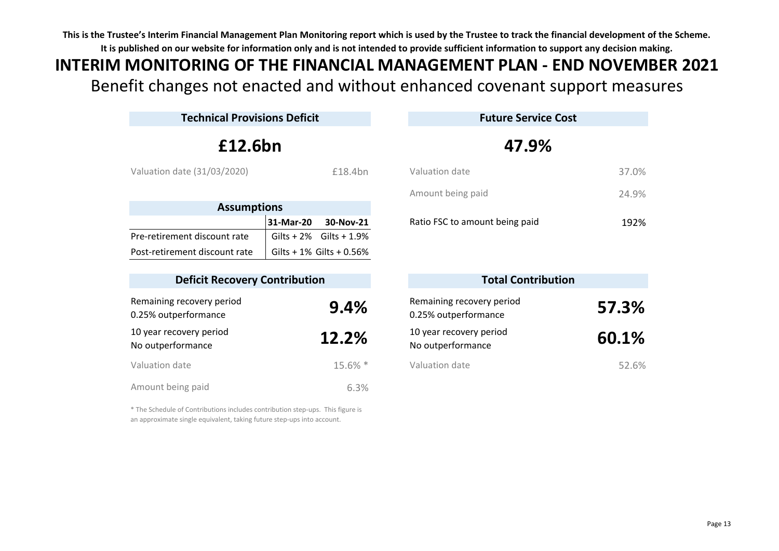# Benefit changes not enacted and without enhanced covenant support measures **INTERIM MONITORING OF THE FINANCIAL MANAGEMENT PLAN - END NOVEMBER 2021**

| <b>Technical Provisions Deficit</b>               |                          |                                                   | <b>Future Service Cost</b> |  |  |
|---------------------------------------------------|--------------------------|---------------------------------------------------|----------------------------|--|--|
| £12.6bn                                           |                          | 47.9%                                             |                            |  |  |
| Valuation date (31/03/2020)                       | £18.4bn                  | Valuation date                                    |                            |  |  |
|                                                   |                          | Amount being paid                                 |                            |  |  |
| <b>Assumptions</b>                                |                          |                                                   |                            |  |  |
|                                                   | 31-Mar-20<br>30-Nov-21   | Ratio FSC to amount being paid                    |                            |  |  |
| Pre-retirement discount rate                      | Gilts + 2% Gilts + 1.9%  |                                                   |                            |  |  |
| Post-retirement discount rate                     | Gilts + 1% Gilts + 0.56% |                                                   |                            |  |  |
| <b>Deficit Recovery Contribution</b>              |                          | <b>Total Contribution</b>                         |                            |  |  |
| Remaining recovery period<br>0.25% outperformance | 9.4%                     | Remaining recovery period<br>0.25% outperformance | 57.3%                      |  |  |
| 10 year recovery period<br>No outperformance      | 12.2%                    | 10 year recovery period<br>No outperformance      | 60.1%                      |  |  |
| Valuation date                                    | 15.6% *                  | Valuation date                                    |                            |  |  |
| Amount being paid                                 | 6.3%                     |                                                   |                            |  |  |

| Ratio ESC to amount heing naid | 192%  |
|--------------------------------|-------|
| Amount being paid              | 24.9% |
| Valuation date                 | 37.0% |

| <b>Total Contribution</b>                      |       |
|------------------------------------------------|-------|
| emaining recovery period<br>25% outperformance | 57.3% |
| ) year recovery period<br>o outperformance     | 60.1% |
| aluation date                                  | 52.6% |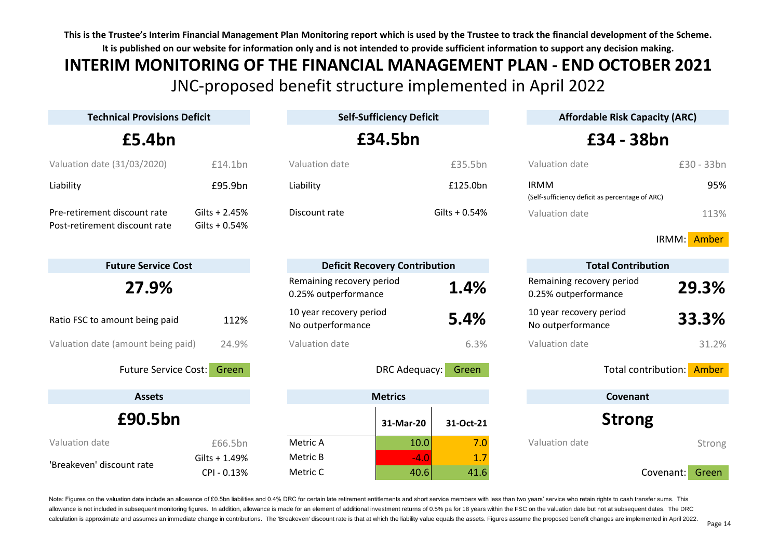# JNC-proposed benefit structure implemented in April 2022 **INTERIM MONITORING OF THE FINANCIAL MANAGEMENT PLAN - END OCTOBER 2021**

| <b>Technical Provisions Deficit</b>                           |                                      |                                                   | <b>Self-Sufficiency Deficit</b> |                           | <b>Affordable Risk Capacity (ARC)</b>                          |                           |
|---------------------------------------------------------------|--------------------------------------|---------------------------------------------------|---------------------------------|---------------------------|----------------------------------------------------------------|---------------------------|
| £5.4bn                                                        |                                      |                                                   | £34.5bn                         |                           |                                                                | £34 - 38bn                |
| Valuation date (31/03/2020)                                   | £14.1bn                              | Valuation date                                    |                                 | £35.5bn                   | Valuation date                                                 | £30 - 33bn                |
| Liability                                                     | £95.9bn                              | Liability                                         |                                 | £125.0bn                  | <b>IRMM</b><br>(Self-sufficiency deficit as percentage of ARC) | 95%                       |
| Pre-retirement discount rate<br>Post-retirement discount rate | Gilts + $2.45%$<br>Gilts $+0.54%$    | Discount rate                                     |                                 | Gilts + 0.54%             | Valuation date                                                 | 113%                      |
|                                                               |                                      |                                                   |                                 |                           |                                                                | IRMM:<br>Amber            |
| <b>Future Service Cost</b>                                    | <b>Deficit Recovery Contribution</b> |                                                   |                                 | <b>Total Contribution</b> |                                                                |                           |
| 27.9%                                                         |                                      | Remaining recovery period<br>0.25% outperformance |                                 | 1.4%                      | Remaining recovery period<br>0.25% outperformance              | 29.3%                     |
| Ratio FSC to amount being paid                                | 112%                                 | 10 year recovery period<br>No outperformance      |                                 | 5.4%                      | 10 year recovery period<br>No outperformance                   | 33.3%                     |
| Valuation date (amount being paid)                            | 24.9%                                | Valuation date                                    |                                 | 6.3%                      | Valuation date                                                 | 31.2%                     |
| <b>Future Service Cost:</b>                                   | Green                                |                                                   | DRC Adequacy:                   | Green                     |                                                                | Total contribution: Amber |
| <b>Assets</b>                                                 |                                      | <b>Metrics</b>                                    |                                 |                           | Covenant                                                       |                           |
| £90.5bn                                                       |                                      |                                                   | 31-Mar-20                       | 31-Oct-21                 | <b>Strong</b>                                                  |                           |
| Valuation date                                                | £66.5bn                              | Metric A                                          | 10.0                            | 7.0                       | Valuation date                                                 | Strong                    |
| 'Breakeven' discount rate                                     | Gilts + 1.49%<br>CPI - 0.13%         | Metric B<br>Metric C                              | $-4.0$<br>40.6                  | 1.7<br>41.6               |                                                                | Covenant:<br>Green        |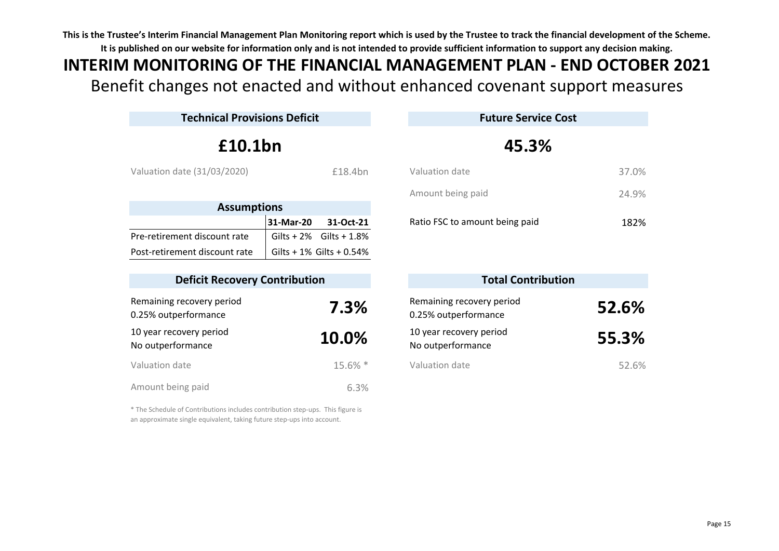# Benefit changes not enacted and without enhanced covenant support measures **INTERIM MONITORING OF THE FINANCIAL MANAGEMENT PLAN - END OCTOBER 2021**

| <b>Technical Provisions Deficit</b>               |           | <b>Future Service Cost</b>  |                                                   |       |
|---------------------------------------------------|-----------|-----------------------------|---------------------------------------------------|-------|
| £10.1bn                                           |           |                             | 45.3%                                             |       |
| Valuation date (31/03/2020)                       |           | £18.4bn                     | Valuation date                                    |       |
|                                                   |           |                             | Amount being paid                                 |       |
| <b>Assumptions</b>                                |           |                             |                                                   |       |
|                                                   | 31-Mar-20 | 31-Oct-21                   | Ratio FSC to amount being paid                    |       |
| Pre-retirement discount rate                      |           | $Gilts + 2%$ $Gilts + 1.8%$ |                                                   |       |
| Post-retirement discount rate                     |           | Gilts + 1% Gilts + 0.54%    |                                                   |       |
| <b>Deficit Recovery Contribution</b>              |           |                             | <b>Total Contribution</b>                         |       |
| Remaining recovery period<br>0.25% outperformance |           | 7.3%                        | Remaining recovery period<br>0.25% outperformance | 52.6% |
| 10 year recovery period<br>No outperformance      |           | 10.0%                       | 10 year recovery period<br>No outperformance      |       |
| Valuation date                                    |           | 15.6% *                     | Valuation date                                    |       |
| Amount being paid                                 |           | 6.3%                        |                                                   |       |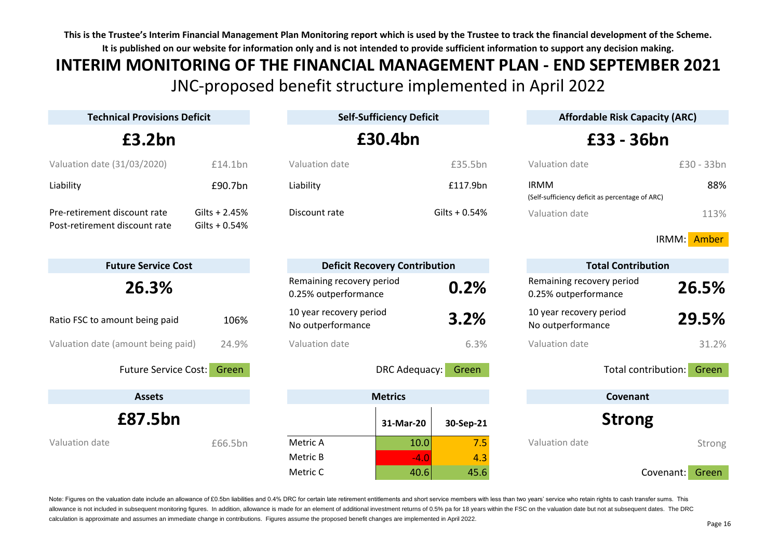# JNC-proposed benefit structure implemented in April 2022 **INTERIM MONITORING OF THE FINANCIAL MANAGEMENT PLAN - END SEPTEMBER 2021**

| <b>Technical Provisions Deficit</b> |                 | <b>Self-Sufficiency Deficit</b>                   |                        | <b>Affordable Risk Capacity (ARC)</b>                          |                    |  |  |
|-------------------------------------|-----------------|---------------------------------------------------|------------------------|----------------------------------------------------------------|--------------------|--|--|
| £3.2bn                              |                 | £30.4bn                                           |                        |                                                                | £33 - 36bn         |  |  |
| Valuation date (31/03/2020)         | £14.1bn         | Valuation date                                    | £35.5bn                | Valuation date                                                 | £30 - 33bn         |  |  |
| Liability                           | £90.7bn         | Liability                                         | £117.9bn               | <b>IRMM</b><br>(Self-sufficiency deficit as percentage of ARC) | 88%                |  |  |
| Pre-retirement discount rate        | Gilts $+2.45%$  | Discount rate                                     | Gilts + 0.54%          | Valuation date                                                 | 113%               |  |  |
| Post-retirement discount rate       | Gilts + $0.54%$ |                                                   |                        |                                                                | IRMM: Amber        |  |  |
| <b>Future Service Cost</b>          |                 | <b>Deficit Recovery Contribution</b>              |                        | <b>Total Contribution</b>                                      |                    |  |  |
| 26.3%                               |                 | Remaining recovery period<br>0.25% outperformance | 0.2%                   | Remaining recovery period<br>0.25% outperformance              | 26.5%              |  |  |
| Ratio FSC to amount being paid      | 106%            | 10 year recovery period<br>No outperformance      | 3.2%                   | 10 year recovery period<br>No outperformance                   | 29.5%              |  |  |
| Valuation date (amount being paid)  | 24.9%           | Valuation date                                    | 6.3%                   | Valuation date                                                 | 31.2%              |  |  |
| <b>Future Service Cost:</b>         | Green           |                                                   | DRC Adequacy:<br>Green | Total contribution:                                            | Green              |  |  |
| <b>Assets</b>                       |                 | <b>Metrics</b>                                    |                        | Covenant                                                       |                    |  |  |
| £87.5bn                             |                 | 31-Mar-20                                         | 30-Sep-21              | <b>Strong</b>                                                  |                    |  |  |
| Valuation date                      | £66.5bn         | Metric A                                          | 7.5<br>10.0            | Valuation date                                                 | Strong             |  |  |
|                                     |                 | Metric B                                          | $-4.0$<br>4.3          |                                                                |                    |  |  |
|                                     |                 | Metric C                                          | 45.6<br>40.6           |                                                                | Green<br>Covenant: |  |  |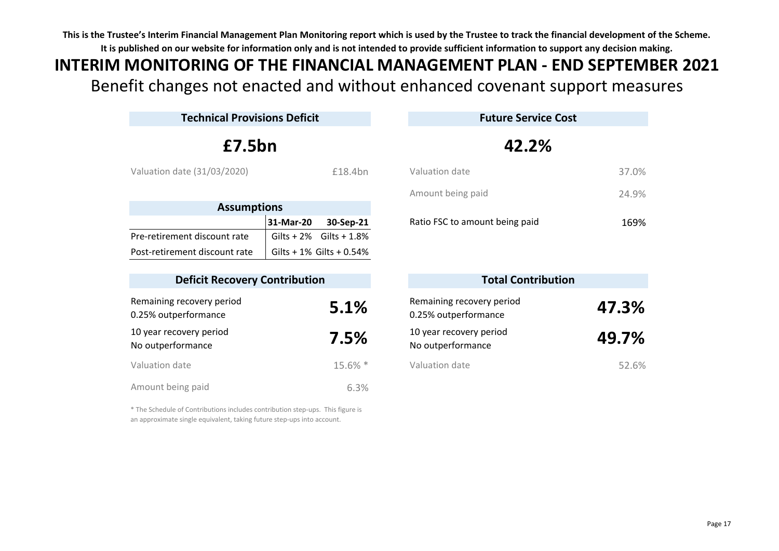# Benefit changes not enacted and without enhanced covenant support measures **INTERIM MONITORING OF THE FINANCIAL MANAGEMENT PLAN - END SEPTEMBER 2021**

| <b>Technical Provisions Deficit</b>               |              |                          |                                                   | <b>Future Service Cost</b> |  |  |
|---------------------------------------------------|--------------|--------------------------|---------------------------------------------------|----------------------------|--|--|
| £7.5bn                                            |              |                          | 42.2%                                             |                            |  |  |
| Valuation date (31/03/2020)<br>£18.4bn            |              |                          | Valuation date                                    |                            |  |  |
|                                                   |              |                          | Amount being paid                                 |                            |  |  |
| <b>Assumptions</b>                                |              |                          |                                                   |                            |  |  |
|                                                   | 31-Mar-20    | 30-Sep-21                | Ratio FSC to amount being paid                    |                            |  |  |
| Pre-retirement discount rate                      | Gilts $+2\%$ | Gilts + 1.8%             |                                                   |                            |  |  |
| Post-retirement discount rate                     |              | Gilts + 1% Gilts + 0.54% |                                                   |                            |  |  |
| <b>Deficit Recovery Contribution</b>              |              |                          | <b>Total Contribution</b>                         |                            |  |  |
| Remaining recovery period<br>0.25% outperformance |              | 5.1%                     | Remaining recovery period<br>0.25% outperformance | 47.3%                      |  |  |
| 10 year recovery period<br>No outperformance      |              | 7.5%                     | 10 year recovery period<br>No outperformance      |                            |  |  |
| Valuation date                                    |              | 15.6% *                  | Valuation date                                    |                            |  |  |
| Amount being paid                                 |              | 6.3%                     |                                                   |                            |  |  |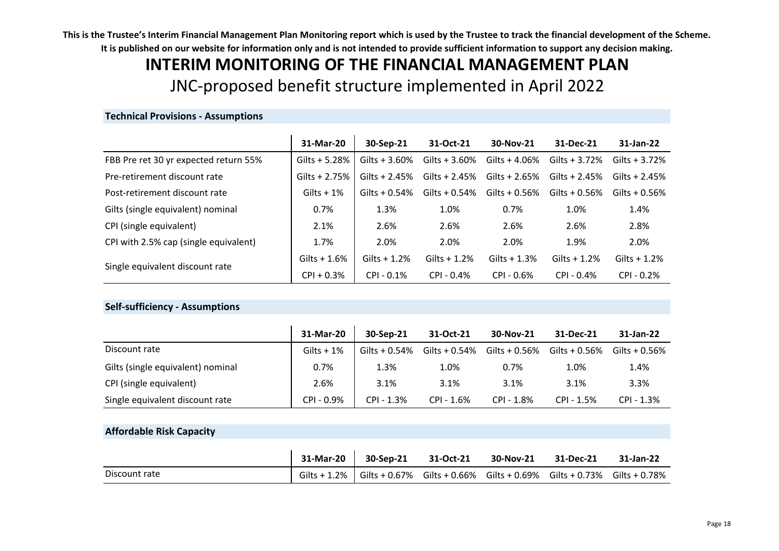# **INTERIM MONITORING OF THE FINANCIAL MANAGEMENT PLAN** JNC-proposed benefit structure implemented in April 2022

### **Technical Provisions - Assumptions**

|                                       | 31-Mar-20       | 30-Sep-21        | 31-Oct-21        | 30-Nov-21       | 31-Dec-21       | 31-Jan-22        |
|---------------------------------------|-----------------|------------------|------------------|-----------------|-----------------|------------------|
| FBB Pre ret 30 yr expected return 55% | Gilts $+ 5.28%$ | Gilts + $3.60%$  | Gilts + $3.60%$  | Gilts $+4.06%$  | Gilts + $3.72%$ | Gilts $+3.72%$   |
| Pre-retirement discount rate          | Gilts $+2.75%$  | Gilts + $2.45%$  | Gilts + $2.45%$  | Gilts + $2.65%$ | Gilts + $2.45%$ | Gilts $+2.45%$   |
| Post-retirement discount rate         | Gilts $+1\%$    | Gilts + $0.54\%$ | Gilts + $0.54\%$ | Gilts $+0.56%$  | Gilts $+0.56%$  | Gilts + $0.56\%$ |
| Gilts (single equivalent) nominal     | 0.7%            | 1.3%             | 1.0%             | 0.7%            | 1.0%            | 1.4%             |
| CPI (single equivalent)               | 2.1%            | 2.6%             | 2.6%             | 2.6%            | 2.6%            | 2.8%             |
| CPI with 2.5% cap (single equivalent) | 1.7%            | 2.0%             | 2.0%             | 2.0%            | 1.9%            | 2.0%             |
| Single equivalent discount rate       | Gilts $+1.6%$   | Gilts $+1.2%$    | Gilts $+1.2%$    | Gilts $+1.3%$   | Gilts $+1.2%$   | Gilts $+1.2%$    |
|                                       | $CPI + 0.3%$    | $CPI - 0.1%$     | $CPI - 0.4%$     | $CPI - 0.6%$    | $CPI - 0.4%$    | $CPI - 0.2%$     |

### **Self-sufficiency - Assumptions**

|                                   | 31-Mar-20    | 30-Sep-21        | 31-Oct-21        | 30-Nov-21     | 31-Dec-21        | 31-Jan-22        |
|-----------------------------------|--------------|------------------|------------------|---------------|------------------|------------------|
| Discount rate                     | Gilts $+1\%$ | Gilts + $0.54\%$ | Gilts + $0.54\%$ | Gilts + 0.56% | Gilts + $0.56\%$ | Gilts + $0.56\%$ |
| Gilts (single equivalent) nominal | 0.7%         | 1.3%             | 1.0%             | 0.7%          | 1.0%             | 1.4%             |
| CPI (single equivalent)           | 2.6%         | 3.1%             | 3.1%             | 3.1%          | 3.1%             | 3.3%             |
| Single equivalent discount rate   | CPI-0.9%     | $CPI - 1.3%$     | $CPI - 1.6%$     | CPI - 1.8%    | CPI - 1.5%       | $CPI - 1.3%$     |

## **Affordable Risk Capacity**

|               | 31-Mar-20 30-Sep-21                                                                | 31-Oct-21 | 30-Nov-21 | 31-Dec-21 | 31-Jan-22 |
|---------------|------------------------------------------------------------------------------------|-----------|-----------|-----------|-----------|
| Discount rate | Gilts + 1.2% Gilts + 0.67% Gilts + 0.66% Gilts + 0.69% Gilts + 0.73% Gilts + 0.78% |           |           |           |           |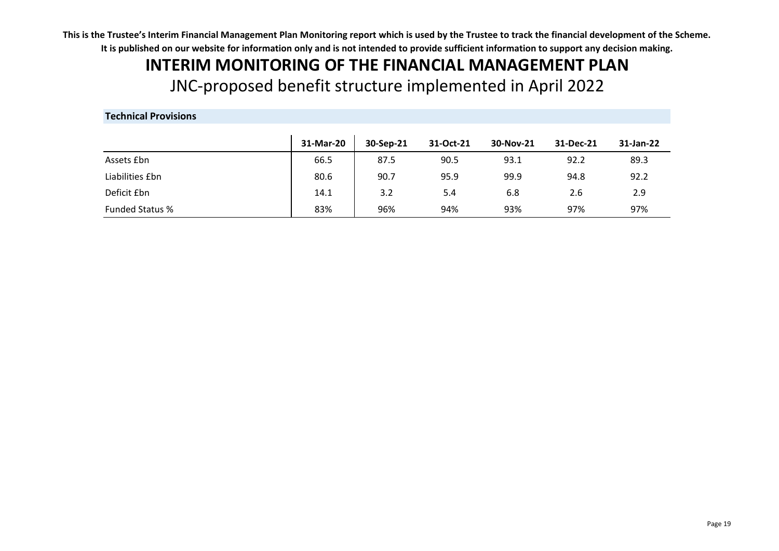# **INTERIM MONITORING OF THE FINANCIAL MANAGEMENT PLAN** JNC-proposed benefit structure implemented in April 2022

# **Technical Provisions**

|                        | 31-Mar-20 | 30-Sep-21 | 31-Oct-21 | 30-Nov-21 | 31-Dec-21 | 31-Jan-22 |
|------------------------|-----------|-----------|-----------|-----------|-----------|-----------|
| Assets <i>Ebn</i>      | 66.5      | 87.5      | 90.5      | 93.1      | 92.2      | 89.3      |
| Liabilities £bn        | 80.6      | 90.7      | 95.9      | 99.9      | 94.8      | 92.2      |
| Deficit £bn            | 14.1      | 3.2       | 5.4       | 6.8       | 2.6       | 2.9       |
| <b>Funded Status %</b> | 83%       | 96%       | 94%       | 93%       | 97%       | 97%       |